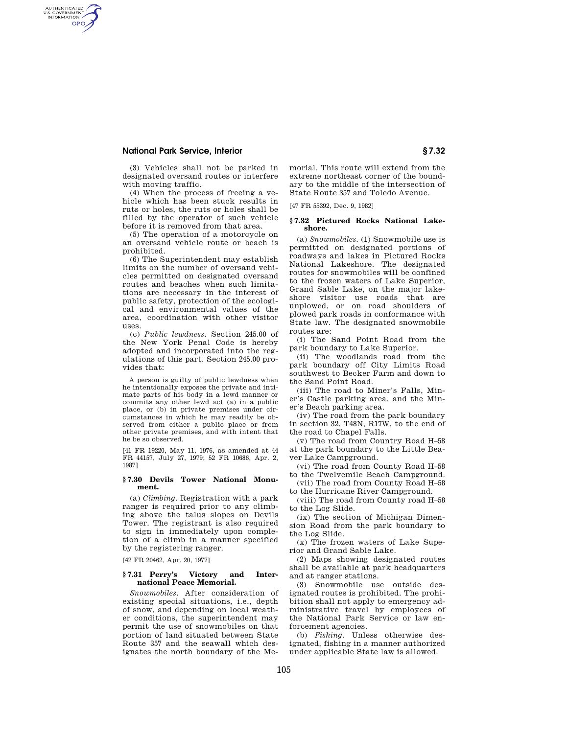# **National Park Service, Interior § 7.32**

AUTHENTICATED<br>U.S. GOVERNMENT<br>INFORMATION **GPO** 

> (3) Vehicles shall not be parked in designated oversand routes or interfere with moving traffic.

> (4) When the process of freeing a vehicle which has been stuck results in ruts or holes, the ruts or holes shall be filled by the operator of such vehicle before it is removed from that area.

> (5) The operation of a motorcycle on an oversand vehicle route or beach is prohibited.

> (6) The Superintendent may establish limits on the number of oversand vehicles permitted on designated oversand routes and beaches when such limitations are necessary in the interest of public safety, protection of the ecological and environmental values of the area, coordination with other visitor uses.

> (c) *Public lewdness.* Section 245.00 of the New York Penal Code is hereby adopted and incorporated into the regulations of this part. Section 245.00 provides that:

> A person is guilty of public lewdness when he intentionally exposes the private and intimate parts of his body in a lewd manner or commits any other lewd act (a) in a public place, or (b) in private premises under circumstances in which he may readily be observed from either a public place or from other private premises, and with intent that he be so observed.

[41 FR 19220, May 11, 1976, as amended at 44 FR 44157, July 27, 1979; 52 FR 10686, Apr. 2, 1987]

### **§ 7.30 Devils Tower National Monument.**

(a) *Climbing.* Registration with a park ranger is required prior to any climbing above the talus slopes on Devils Tower. The registrant is also required to sign in immediately upon completion of a climb in a manner specified by the registering ranger.

[42 FR 20462, Apr. 20, 1977]

### **§ 7.31 Perry's Victory and International Peace Memorial.**

*Snowmobiles.* After consideration of existing special situations, i.e., depth of snow, and depending on local weather conditions, the superintendent may permit the use of snowmobiles on that portion of land situated between State Route 357 and the seawall which designates the north boundary of the Memorial. This route will extend from the extreme northeast corner of the boundary to the middle of the intersection of State Route 357 and Toledo Avenue.

[47 FR 55392, Dec. 9, 1982]

### **§ 7.32 Pictured Rocks National Lakeshore.**

(a) *Snowmobiles.* (1) Snowmobile use is permitted on designated portions of roadways and lakes in Pictured Rocks National Lakeshore. The designated routes for snowmobiles will be confined to the frozen waters of Lake Superior, Grand Sable Lake, on the major lakeshore visitor use roads that are unplowed, or on road shoulders of plowed park roads in conformance with State law. The designated snowmobile routes are:

(i) The Sand Point Road from the park boundary to Lake Superior.

(ii) The woodlands road from the park boundary off City Limits Road southwest to Becker Farm and down to the Sand Point Road.

(iii) The road to Miner's Falls, Miner's Castle parking area, and the Miner's Beach parking area.

(iv) The road from the park boundary in section 32, T48N, R17W, to the end of the road to Chapel Falls.

(v) The road from Country Road H–58 at the park boundary to the Little Beaver Lake Campground.

(vi) The road from County Road H–58 to the Twelvemile Beach Campground.

(vii) The road from County Road H–58 to the Hurricane River Campground.

(viii) The road from County road H–58 to the Log Slide.

(ix) The section of Michigan Dimension Road from the park boundary to the Log Slide.

(x) The frozen waters of Lake Superior and Grand Sable Lake.

(2) Maps showing designated routes shall be available at park headquarters and at ranger stations.

(3) Snowmobile use outside designated routes is prohibited. The prohibition shall not apply to emergency administrative travel by employees of the National Park Service or law enforcement agencies.

(b) *Fishing.* Unless otherwise designated, fishing in a manner authorized under applicable State law is allowed.